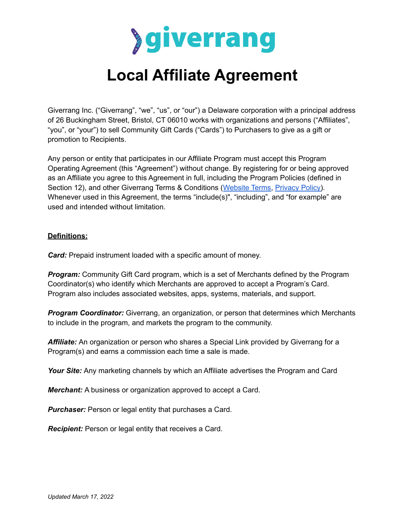

# **Local Affiliate Agreement**

Giverrang Inc. ("Giverrang", "we", "us", or "our") a Delaware corporation with a principal address of 26 Buckingham Street, Bristol, CT 06010 works with organizations and persons ("Affiliates", "you", or "your") to sell Community Gift Cards ("Cards") to Purchasers to give as a gift or promotion to Recipients.

Any person or entity that participates in our Affiliate Program must accept this Program Operating Agreement (this "Agreement") without change. By registering for or being approved as an Affiliate you agree to this Agreement in full, including the Program Policies (defined in Section 12), and other Giverrang Terms & Conditions ([Website](https://giverrang.com/static/docs/website-terms.pdf?cache=20211222) Terms, [Privacy](https://giverrang.com/static/docs/privacy-policy.pdf?cache=20211222) Policy). Whenever used in this Agreement, the terms "include(s)", "including", and "for example" are used and intended without limitation.

#### **Definitions:**

*Card:* Prepaid instrument loaded with a specific amount of money.

*Program:* Community Gift Card program, which is a set of Merchants defined by the Program Coordinator(s) who identify which Merchants are approved to accept a Program's Card. Program also includes associated websites, apps, systems, materials, and support.

*Program Coordinator:* Giverrang, an organization, or person that determines which Merchants to include in the program, and markets the program to the community.

*Affiliate:* An organization or person who shares a Special Link provided by Giverrang for a Program(s) and earns a commission each time a sale is made.

*Your Site:* Any marketing channels by which an Affiliate advertises the Program and Card

*Merchant:* A business or organization approved to accept a Card.

*Purchaser:* Person or legal entity that purchases a Card.

*Recipient:* Person or legal entity that receives a Card.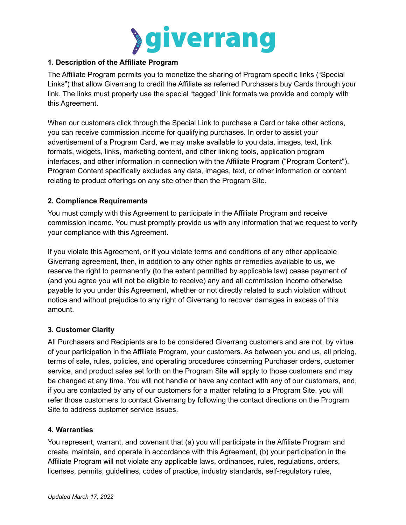

# **1. Description of the Affiliate Program**

The Affiliate Program permits you to monetize the sharing of Program specific links ("Special Links") that allow Giverrang to credit the Affiliate as referred Purchasers buy Cards through your link. The links must properly use the special "tagged" link formats we provide and comply with this Agreement.

When our customers click through the Special Link to purchase a Card or take other actions, you can receive commission income for qualifying purchases. In order to assist your advertisement of a Program Card, we may make available to you data, images, text, link formats, widgets, links, marketing content, and other linking tools, application program interfaces, and other information in connection with the Affiliate Program ("Program Content"). Program Content specifically excludes any data, images, text, or other information or content relating to product offerings on any site other than the Program Site.

# **2. Compliance Requirements**

You must comply with this Agreement to participate in the Affiliate Program and receive commission income. You must promptly provide us with any information that we request to verify your compliance with this Agreement.

If you violate this Agreement, or if you violate terms and conditions of any other applicable Giverrang agreement, then, in addition to any other rights or remedies available to us, we reserve the right to permanently (to the extent permitted by applicable law) cease payment of (and you agree you will not be eligible to receive) any and all commission income otherwise payable to you under this Agreement, whether or not directly related to such violation without notice and without prejudice to any right of Giverrang to recover damages in excess of this amount.

#### **3. Customer Clarity**

All Purchasers and Recipients are to be considered Giverrang customers and are not, by virtue of your participation in the Affiliate Program, your customers. As between you and us, all pricing, terms of sale, rules, policies, and operating procedures concerning Purchaser orders, customer service, and product sales set forth on the Program Site will apply to those customers and may be changed at any time. You will not handle or have any contact with any of our customers, and, if you are contacted by any of our customers for a matter relating to a Program Site, you will refer those customers to contact Giverrang by following the contact directions on the Program Site to address customer service issues.

#### **4. Warranties**

You represent, warrant, and covenant that (a) you will participate in the Affiliate Program and create, maintain, and operate in accordance with this Agreement, (b) your participation in the Affiliate Program will not violate any applicable laws, ordinances, rules, regulations, orders, licenses, permits, guidelines, codes of practice, industry standards, self-regulatory rules,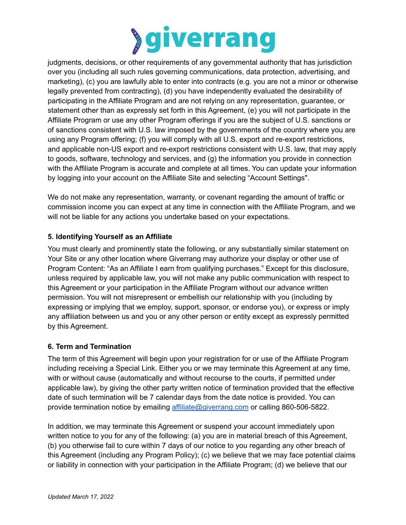

judgments, decisions, or other requirements of any governmental authority that has jurisdiction over you (including all such rules governing communications, data protection, advertising, and marketing), (c) you are lawfully able to enter into contracts (e.g. you are not a minor or otherwise legally prevented from contracting), (d) you have independently evaluated the desirability of participating in the Affiliate Program and are not relying on any representation, guarantee, or statement other than as expressly set forth in this Agreement, (e) you will not participate in the Affiliate Program or use any other Program offerings if you are the subject of U.S. sanctions or of sanctions consistent with U.S. law imposed by the governments of the country where you are using any Program offering; (f) you will comply with all U.S. export and re-export restrictions, and applicable non-US export and re-export restrictions consistent with U.S. law, that may apply to goods, software, technology and services, and (g) the information you provide in connection with the Affiliate Program is accurate and complete at all times. You can update your information by logging into your account on the Affiliate Site and selecting "Account Settings".

We do not make any representation, warranty, or covenant regarding the amount of traffic or commission income you can expect at any time in connection with the Affiliate Program, and we will not be liable for any actions you undertake based on your expectations.

# **5. Identifying Yourself as an Affiliate**

You must clearly and prominently state the following, or any substantially similar statement on Your Site or any other location where Giverrang may authorize your display or other use of Program Content: "As an Affiliate I earn from qualifying purchases." Except for this disclosure, unless required by applicable law, you will not make any public communication with respect to this Agreement or your participation in the Affiliate Program without our advance written permission. You will not misrepresent or embellish our relationship with you (including by expressing or implying that we employ, support, sponsor, or endorse you), or express or imply any affiliation between us and you or any other person or entity except as expressly permitted by this Agreement.

#### **6. Term and Termination**

The term of this Agreement will begin upon your registration for or use of the Affiliate Program including receiving a Special Link. Either you or we may terminate this Agreement at any time, with or without cause (automatically and without recourse to the courts, if permitted under applicable law), by giving the other party written notice of termination provided that the effective date of such termination will be 7 calendar days from the date notice is provided. You can provide termination notice by emailing [affiliate@giverrang.com](mailto:affiliat@giverrang.com) or calling 860-506-5822.

In addition, we may terminate this Agreement or suspend your account immediately upon written notice to you for any of the following: (a) you are in material breach of this Agreement, (b) you otherwise fail to cure within 7 days of our notice to you regarding any other breach of this Agreement (including any Program Policy); (c) we believe that we may face potential claims or liability in connection with your participation in the Affiliate Program; (d) we believe that our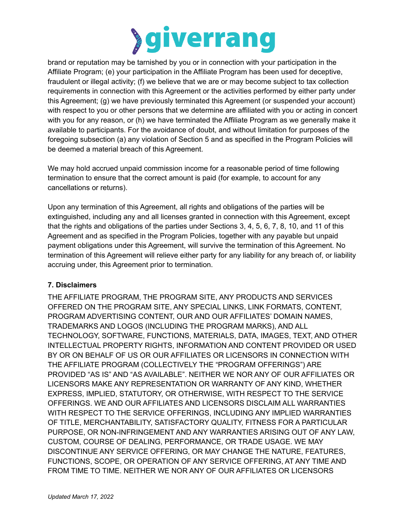

brand or reputation may be tarnished by you or in connection with your participation in the Affiliate Program; (e) your participation in the Affiliate Program has been used for deceptive, fraudulent or illegal activity; (f) we believe that we are or may become subject to tax collection requirements in connection with this Agreement or the activities performed by either party under this Agreement; (g) we have previously terminated this Agreement (or suspended your account) with respect to you or other persons that we determine are affiliated with you or acting in concert with you for any reason, or (h) we have terminated the Affiliate Program as we generally make it available to participants. For the avoidance of doubt, and without limitation for purposes of the foregoing subsection (a) any violation of Section 5 and as specified in the Program Policies will be deemed a material breach of this Agreement.

We may hold accrued unpaid commission income for a reasonable period of time following termination to ensure that the correct amount is paid (for example, to account for any cancellations or returns).

Upon any termination of this Agreement, all rights and obligations of the parties will be extinguished, including any and all licenses granted in connection with this Agreement, except that the rights and obligations of the parties under Sections 3, 4, 5, 6, 7, 8, 10, and 11 of this Agreement and as specified in the Program Policies, together with any payable but unpaid payment obligations under this Agreement, will survive the termination of this Agreement. No termination of this Agreement will relieve either party for any liability for any breach of, or liability accruing under, this Agreement prior to termination.

#### **7. Disclaimers**

THE AFFILIATE PROGRAM, THE PROGRAM SITE, ANY PRODUCTS AND SERVICES OFFERED ON THE PROGRAM SITE, ANY SPECIAL LINKS, LINK FORMATS, CONTENT, PROGRAM ADVERTISING CONTENT, OUR AND OUR AFFILIATES' DOMAIN NAMES, TRADEMARKS AND LOGOS (INCLUDING THE PROGRAM MARKS), AND ALL TECHNOLOGY, SOFTWARE, FUNCTIONS, MATERIALS, DATA, IMAGES, TEXT, AND OTHER INTELLECTUAL PROPERTY RIGHTS, INFORMATION AND CONTENT PROVIDED OR USED BY OR ON BEHALF OF US OR OUR AFFILIATES OR LICENSORS IN CONNECTION WITH THE AFFILIATE PROGRAM (COLLECTIVELY THE "PROGRAM OFFERINGS") ARE PROVIDED "AS IS" AND "AS AVAILABLE". NEITHER WE NOR ANY OF OUR AFFILIATES OR LICENSORS MAKE ANY REPRESENTATION OR WARRANTY OF ANY KIND, WHETHER EXPRESS, IMPLIED, STATUTORY, OR OTHERWISE, WITH RESPECT TO THE SERVICE OFFERINGS. WE AND OUR AFFILIATES AND LICENSORS DISCLAIM ALL WARRANTIES WITH RESPECT TO THE SERVICE OFFERINGS, INCLUDING ANY IMPLIED WARRANTIES OF TITLE, MERCHANTABILITY, SATISFACTORY QUALITY, FITNESS FOR A PARTICULAR PURPOSE, OR NON-INFRINGEMENT AND ANY WARRANTIES ARISING OUT OF ANY LAW, CUSTOM, COURSE OF DEALING, PERFORMANCE, OR TRADE USAGE. WE MAY DISCONTINUE ANY SERVICE OFFERING, OR MAY CHANGE THE NATURE, FEATURES, FUNCTIONS, SCOPE, OR OPERATION OF ANY SERVICE OFFERING, AT ANY TIME AND FROM TIME TO TIME. NEITHER WE NOR ANY OF OUR AFFILIATES OR LICENSORS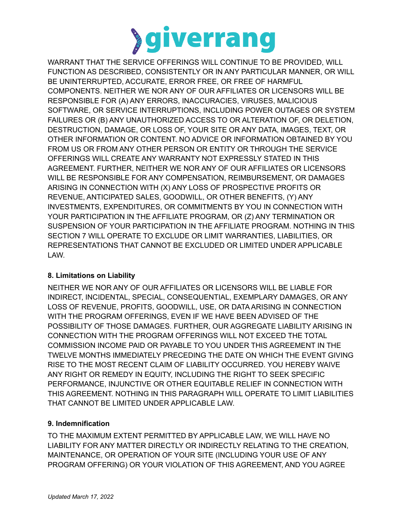

WARRANT THAT THE SERVICE OFFERINGS WILL CONTINUE TO BE PROVIDED, WILL FUNCTION AS DESCRIBED, CONSISTENTLY OR IN ANY PARTICULAR MANNER, OR WILL BE UNINTERRUPTED, ACCURATE, ERROR FREE, OR FREE OF HARMFUL COMPONENTS. NEITHER WE NOR ANY OF OUR AFFILIATES OR LICENSORS WILL BE RESPONSIBLE FOR (A) ANY ERRORS, INACCURACIES, VIRUSES, MALICIOUS SOFTWARE, OR SERVICE INTERRUPTIONS, INCLUDING POWER OUTAGES OR SYSTEM FAILURES OR (B) ANY UNAUTHORIZED ACCESS TO OR ALTERATION OF, OR DELETION, DESTRUCTION, DAMAGE, OR LOSS OF, YOUR SITE OR ANY DATA, IMAGES, TEXT, OR OTHER INFORMATION OR CONTENT. NO ADVICE OR INFORMATION OBTAINED BY YOU FROM US OR FROM ANY OTHER PERSON OR ENTITY OR THROUGH THE SERVICE OFFERINGS WILL CREATE ANY WARRANTY NOT EXPRESSLY STATED IN THIS AGREEMENT. FURTHER, NEITHER WE NOR ANY OF OUR AFFILIATES OR LICENSORS WILL BE RESPONSIBLE FOR ANY COMPENSATION, REIMBURSEMENT, OR DAMAGES ARISING IN CONNECTION WITH (X) ANY LOSS OF PROSPECTIVE PROFITS OR REVENUE, ANTICIPATED SALES, GOODWILL, OR OTHER BENEFITS, (Y) ANY INVESTMENTS, EXPENDITURES, OR COMMITMENTS BY YOU IN CONNECTION WITH YOUR PARTICIPATION IN THE AFFILIATE PROGRAM, OR (Z) ANY TERMINATION OR SUSPENSION OF YOUR PARTICIPATION IN THE AFFILIATE PROGRAM. NOTHING IN THIS SECTION 7 WILL OPERATE TO EXCLUDE OR LIMIT WARRANTIES, LIABILITIES, OR REPRESENTATIONS THAT CANNOT BE EXCLUDED OR LIMITED UNDER APPLICABLE LAW.

# **8. Limitations on Liability**

NEITHER WE NOR ANY OF OUR AFFILIATES OR LICENSORS WILL BE LIABLE FOR INDIRECT, INCIDENTAL, SPECIAL, CONSEQUENTIAL, EXEMPLARY DAMAGES, OR ANY LOSS OF REVENUE, PROFITS, GOODWILL, USE, OR DATA ARISING IN CONNECTION WITH THE PROGRAM OFFERINGS, EVEN IF WE HAVE BEEN ADVISED OF THE POSSIBILITY OF THOSE DAMAGES. FURTHER, OUR AGGREGATE LIABILITY ARISING IN CONNECTION WITH THE PROGRAM OFFERINGS WILL NOT EXCEED THE TOTAL COMMISSION INCOME PAID OR PAYABLE TO YOU UNDER THIS AGREEMENT IN THE TWELVE MONTHS IMMEDIATELY PRECEDING THE DATE ON WHICH THE EVENT GIVING RISE TO THE MOST RECENT CLAIM OF LIABILITY OCCURRED. YOU HEREBY WAIVE ANY RIGHT OR REMEDY IN EQUITY, INCLUDING THE RIGHT TO SEEK SPECIFIC PERFORMANCE, INJUNCTIVE OR OTHER EQUITABLE RELIEF IN CONNECTION WITH THIS AGREEMENT. NOTHING IN THIS PARAGRAPH WILL OPERATE TO LIMIT LIABILITIES THAT CANNOT BE LIMITED UNDER APPLICABLE LAW.

# **9. Indemnification**

TO THE MAXIMUM EXTENT PERMITTED BY APPLICABLE LAW, WE WILL HAVE NO LIABILITY FOR ANY MATTER DIRECTLY OR INDIRECTLY RELATING TO THE CREATION, MAINTENANCE, OR OPERATION OF YOUR SITE (INCLUDING YOUR USE OF ANY PROGRAM OFFERING) OR YOUR VIOLATION OF THIS AGREEMENT, AND YOU AGREE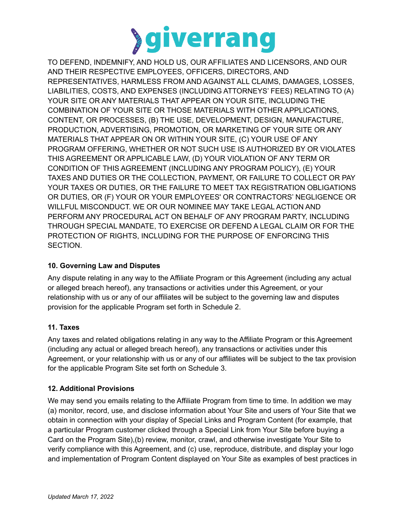

TO DEFEND, INDEMNIFY, AND HOLD US, OUR AFFILIATES AND LICENSORS, AND OUR AND THEIR RESPECTIVE EMPLOYEES, OFFICERS, DIRECTORS, AND REPRESENTATIVES, HARMLESS FROM AND AGAINST ALL CLAIMS, DAMAGES, LOSSES, LIABILITIES, COSTS, AND EXPENSES (INCLUDING ATTORNEYS' FEES) RELATING TO (A) YOUR SITE OR ANY MATERIALS THAT APPEAR ON YOUR SITE, INCLUDING THE COMBINATION OF YOUR SITE OR THOSE MATERIALS WITH OTHER APPLICATIONS, CONTENT, OR PROCESSES, (B) THE USE, DEVELOPMENT, DESIGN, MANUFACTURE, PRODUCTION, ADVERTISING, PROMOTION, OR MARKETING OF YOUR SITE OR ANY MATERIALS THAT APPEAR ON OR WITHIN YOUR SITE, (C) YOUR USE OF ANY PROGRAM OFFERING, WHETHER OR NOT SUCH USE IS AUTHORIZED BY OR VIOLATES THIS AGREEMENT OR APPLICABLE LAW, (D) YOUR VIOLATION OF ANY TERM OR CONDITION OF THIS AGREEMENT (INCLUDING ANY PROGRAM POLICY), (E) YOUR TAXES AND DUTIES OR THE COLLECTION, PAYMENT, OR FAILURE TO COLLECT OR PAY YOUR TAXES OR DUTIES, OR THE FAILURE TO MEET TAX REGISTRATION OBLIGATIONS OR DUTIES, OR (F) YOUR OR YOUR EMPLOYEES' OR CONTRACTORS' NEGLIGENCE OR WILLFUL MISCONDUCT. WE OR OUR NOMINEE MAY TAKE LEGAL ACTION AND PERFORM ANY PROCEDURAL ACT ON BEHALF OF ANY PROGRAM PARTY, INCLUDING THROUGH SPECIAL MANDATE, TO EXERCISE OR DEFEND A LEGAL CLAIM OR FOR THE PROTECTION OF RIGHTS, INCLUDING FOR THE PURPOSE OF ENFORCING THIS SECTION.

# **10. Governing Law and Disputes**

Any dispute relating in any way to the Affiliate Program or this Agreement (including any actual or alleged breach hereof), any transactions or activities under this Agreement, or your relationship with us or any of our affiliates will be subject to the governing law and disputes provision for the applicable Program set forth in Schedule 2.

#### **11. Taxes**

Any taxes and related obligations relating in any way to the Affiliate Program or this Agreement (including any actual or alleged breach hereof), any transactions or activities under this Agreement, or your relationship with us or any of our affiliates will be subject to the tax provision for the applicable Program Site set forth on Schedule 3.

#### **12. Additional Provisions**

We may send you emails relating to the Affiliate Program from time to time. In addition we may (a) monitor, record, use, and disclose information about Your Site and users of Your Site that we obtain in connection with your display of Special Links and Program Content (for example, that a particular Program customer clicked through a Special Link from Your Site before buying a Card on the Program Site),(b) review, monitor, crawl, and otherwise investigate Your Site to verify compliance with this Agreement, and (c) use, reproduce, distribute, and display your logo and implementation of Program Content displayed on Your Site as examples of best practices in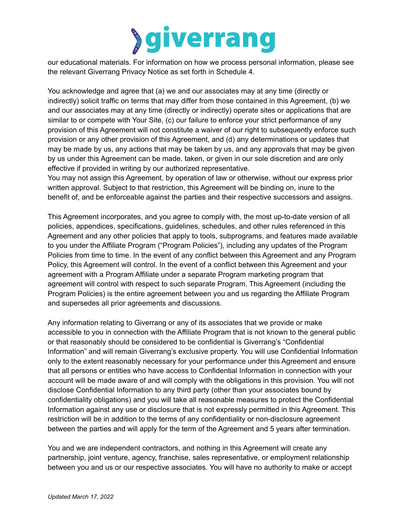

our educational materials. For information on how we process personal information, please see the relevant Giverrang Privacy Notice as set forth in Schedule 4.

You acknowledge and agree that (a) we and our associates may at any time (directly or indirectly) solicit traffic on terms that may differ from those contained in this Agreement, (b) we and our associates may at any time (directly or indirectly) operate sites or applications that are similar to or compete with Your Site, (c) our failure to enforce your strict performance of any provision of this Agreement will not constitute a waiver of our right to subsequently enforce such provision or any other provision of this Agreement, and (d) any determinations or updates that may be made by us, any actions that may be taken by us, and any approvals that may be given by us under this Agreement can be made, taken, or given in our sole discretion and are only effective if provided in writing by our authorized representative.

You may not assign this Agreement, by operation of law or otherwise, without our express prior written approval. Subject to that restriction, this Agreement will be binding on, inure to the benefit of, and be enforceable against the parties and their respective successors and assigns.

This Agreement incorporates, and you agree to comply with, the most up-to-date version of all policies, appendices, specifications, guidelines, schedules, and other rules referenced in this Agreement and any other policies that apply to tools, subprograms, and features made available to you under the Affiliate Program ("Program Policies"), including any updates of the Program Policies from time to time. In the event of any conflict between this Agreement and any Program Policy, this Agreement will control. In the event of a conflict between this Agreement and your agreement with a Program Affiliate under a separate Program marketing program that agreement will control with respect to such separate Program. This Agreement (including the Program Policies) is the entire agreement between you and us regarding the Affiliate Program and supersedes all prior agreements and discussions.

Any information relating to Giverrang or any of its associates that we provide or make accessible to you in connection with the Affiliate Program that is not known to the general public or that reasonably should be considered to be confidential is Giverrang's "Confidential Information" and will remain Giverrang's exclusive property. You will use Confidential Information only to the extent reasonably necessary for your performance under this Agreement and ensure that all persons or entities who have access to Confidential Information in connection with your account will be made aware of and will comply with the obligations in this provision. You will not disclose Confidential Information to any third party (other than your associates bound by confidentiality obligations) and you will take all reasonable measures to protect the Confidential Information against any use or disclosure that is not expressly permitted in this Agreement. This restriction will be in addition to the terms of any confidentiality or non-disclosure agreement between the parties and will apply for the term of the Agreement and 5 years after termination.

You and we are independent contractors, and nothing in this Agreement will create any partnership, joint venture, agency, franchise, sales representative, or employment relationship between you and us or our respective associates. You will have no authority to make or accept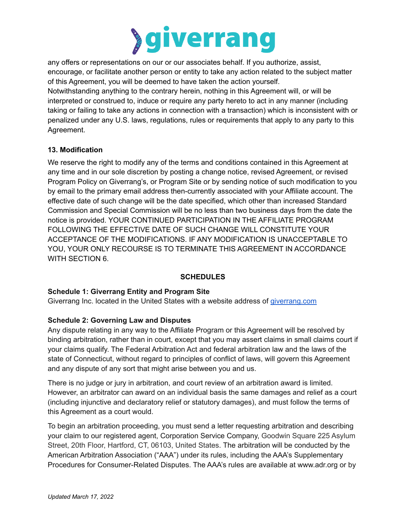

any offers or representations on our or our associates behalf. If you authorize, assist, encourage, or facilitate another person or entity to take any action related to the subject matter of this Agreement, you will be deemed to have taken the action yourself.

Notwithstanding anything to the contrary herein, nothing in this Agreement will, or will be interpreted or construed to, induce or require any party hereto to act in any manner (including taking or failing to take any actions in connection with a transaction) which is inconsistent with or penalized under any U.S. laws, regulations, rules or requirements that apply to any party to this Agreement.

# **13. Modification**

We reserve the right to modify any of the terms and conditions contained in this Agreement at any time and in our sole discretion by posting a change notice, revised Agreement, or revised Program Policy on Giverrang's, or Program Site or by sending notice of such modification to you by email to the primary email address then-currently associated with your Affiliate account. The effective date of such change will be the date specified, which other than increased Standard Commission and Special Commission will be no less than two business days from the date the notice is provided. YOUR CONTINUED PARTICIPATION IN THE AFFILIATE PROGRAM FOLLOWING THE EFFECTIVE DATE OF SUCH CHANGE WILL CONSTITUTE YOUR ACCEPTANCE OF THE MODIFICATIONS. IF ANY MODIFICATION IS UNACCEPTABLE TO YOU, YOUR ONLY RECOURSE IS TO TERMINATE THIS AGREEMENT IN ACCORDANCE WITH SECTION 6.

# **SCHEDULES**

#### **Schedule 1: Giverrang Entity and Program Site**

Giverrang Inc. located in the United States with a website address of [giverrang.com](https://giverrang.com)

#### **Schedule 2: Governing Law and Disputes**

Any dispute relating in any way to the Affiliate Program or this Agreement will be resolved by binding arbitration, rather than in court, except that you may assert claims in small claims court if your claims qualify. The Federal Arbitration Act and federal arbitration law and the laws of the state of Connecticut, without regard to principles of conflict of laws, will govern this Agreement and any dispute of any sort that might arise between you and us.

There is no judge or jury in arbitration, and court review of an arbitration award is limited. However, an arbitrator can award on an individual basis the same damages and relief as a court (including injunctive and declaratory relief or statutory damages), and must follow the terms of this Agreement as a court would.

To begin an arbitration proceeding, you must send a letter requesting arbitration and describing your claim to our registered agent, Corporation Service Company, Goodwin Square 225 Asylum Street, 20th Floor, Hartford, CT, 06103, United States. The arbitration will be conducted by the American Arbitration Association ("AAA") under its rules, including the AAA's Supplementary Procedures for Consumer-Related Disputes. The AAA's rules are available at www.adr.org or by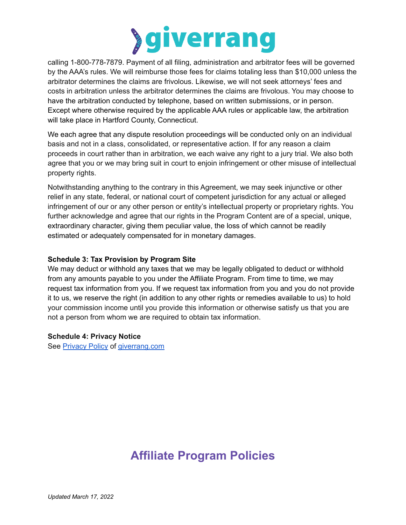

calling 1-800-778-7879. Payment of all filing, administration and arbitrator fees will be governed by the AAA's rules. We will reimburse those fees for claims totaling less than \$10,000 unless the arbitrator determines the claims are frivolous. Likewise, we will not seek attorneys' fees and costs in arbitration unless the arbitrator determines the claims are frivolous. You may choose to have the arbitration conducted by telephone, based on written submissions, or in person. Except where otherwise required by the applicable AAA rules or applicable law, the arbitration will take place in Hartford County, Connecticut.

We each agree that any dispute resolution proceedings will be conducted only on an individual basis and not in a class, consolidated, or representative action. If for any reason a claim proceeds in court rather than in arbitration, we each waive any right to a jury trial. We also both agree that you or we may bring suit in court to enjoin infringement or other misuse of intellectual property rights.

Notwithstanding anything to the contrary in this Agreement, we may seek injunctive or other relief in any state, federal, or national court of competent jurisdiction for any actual or alleged infringement of our or any other person or entity's intellectual property or proprietary rights. You further acknowledge and agree that our rights in the Program Content are of a special, unique, extraordinary character, giving them peculiar value, the loss of which cannot be readily estimated or adequately compensated for in monetary damages.

#### **Schedule 3: Tax Provision by Program Site**

We may deduct or withhold any taxes that we may be legally obligated to deduct or withhold from any amounts payable to you under the Affiliate Program. From time to time, we may request tax information from you. If we request tax information from you and you do not provide it to us, we reserve the right (in addition to any other rights or remedies available to us) to hold your commission income until you provide this information or otherwise satisfy us that you are not a person from whom we are required to obtain tax information.

#### **Schedule 4: Privacy Notice**

See [Privacy](https://giverrang.com/static/docs/privacy-policy.pdf?cache=20211222) Policy of [giverrang.com](https://giverrang.com)

# **Affiliate Program Policies**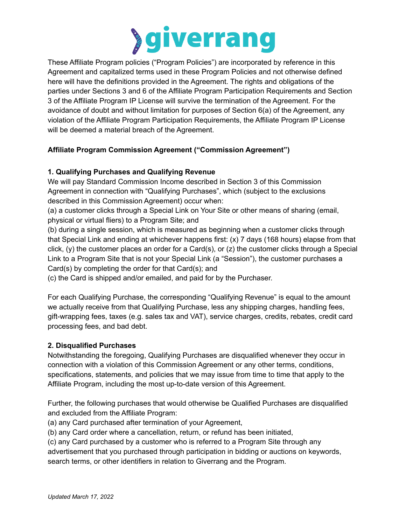

These Affiliate Program policies ("Program Policies") are incorporated by reference in this Agreement and capitalized terms used in these Program Policies and not otherwise defined here will have the definitions provided in the Agreement. The rights and obligations of the parties under Sections 3 and 6 of the Affiliate Program Participation Requirements and Section 3 of the Affiliate Program IP License will survive the termination of the Agreement. For the avoidance of doubt and without limitation for purposes of Section 6(a) of the Agreement, any violation of the Affiliate Program Participation Requirements, the Affiliate Program IP License will be deemed a material breach of the Agreement.

# **Affiliate Program Commission Agreement ("Commission Agreement")**

# **1. Qualifying Purchases and Qualifying Revenue**

We will pay Standard Commission Income described in Section 3 of this Commission Agreement in connection with "Qualifying Purchases", which (subject to the exclusions described in this Commission Agreement) occur when:

(a) a customer clicks through a Special Link on Your Site or other means of sharing (email, physical or virtual fliers) to a Program Site; and

(b) during a single session, which is measured as beginning when a customer clicks through that Special Link and ending at whichever happens first: (x) 7 days (168 hours) elapse from that click, (y) the customer places an order for a Card(s), or (z) the customer clicks through a Special Link to a Program Site that is not your Special Link (a "Session"), the customer purchases a Card(s) by completing the order for that Card(s); and

(c) the Card is shipped and/or emailed, and paid for by the Purchaser.

For each Qualifying Purchase, the corresponding "Qualifying Revenue" is equal to the amount we actually receive from that Qualifying Purchase, less any shipping charges, handling fees, gift-wrapping fees, taxes (e.g. sales tax and VAT), service charges, credits, rebates, credit card processing fees, and bad debt.

#### **2. Disqualified Purchases**

Notwithstanding the foregoing, Qualifying Purchases are disqualified whenever they occur in connection with a violation of this Commission Agreement or any other terms, conditions, specifications, statements, and policies that we may issue from time to time that apply to the Affiliate Program, including the most up-to-date version of this Agreement.

Further, the following purchases that would otherwise be Qualified Purchases are disqualified and excluded from the Affiliate Program:

(a) any Card purchased after termination of your Agreement,

(b) any Card order where a cancellation, return, or refund has been initiated,

(c) any Card purchased by a customer who is referred to a Program Site through any

advertisement that you purchased through participation in bidding or auctions on keywords, search terms, or other identifiers in relation to Giverrang and the Program.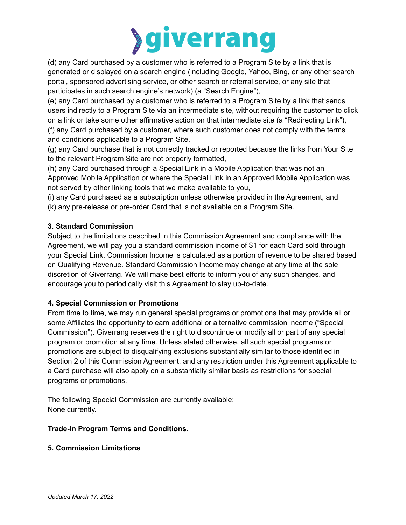

(d) any Card purchased by a customer who is referred to a Program Site by a link that is generated or displayed on a search engine (including Google, Yahoo, Bing, or any other search portal, sponsored advertising service, or other search or referral service, or any site that participates in such search engine's network) (a "Search Engine"),

(e) any Card purchased by a customer who is referred to a Program Site by a link that sends users indirectly to a Program Site via an intermediate site, without requiring the customer to click on a link or take some other affirmative action on that intermediate site (a "Redirecting Link"), (f) any Card purchased by a customer, where such customer does not comply with the terms and conditions applicable to a Program Site,

(g) any Card purchase that is not correctly tracked or reported because the links from Your Site to the relevant Program Site are not properly formatted,

(h) any Card purchased through a Special Link in a Mobile Application that was not an Approved Mobile Application or where the Special Link in an Approved Mobile Application was not served by other linking tools that we make available to you,

(i) any Card purchased as a subscription unless otherwise provided in the Agreement, and (k) any pre-release or pre-order Card that is not available on a Program Site.

# **3. Standard Commission**

Subject to the limitations described in this Commission Agreement and compliance with the Agreement, we will pay you a standard commission income of \$1 for each Card sold through your Special Link. Commission Income is calculated as a portion of revenue to be shared based on Qualifying Revenue. Standard Commission Income may change at any time at the sole discretion of Giverrang. We will make best efforts to inform you of any such changes, and encourage you to periodically visit this Agreement to stay up-to-date.

# **4. Special Commission or Promotions**

From time to time, we may run general special programs or promotions that may provide all or some Affiliates the opportunity to earn additional or alternative commission income ("Special Commission"). Giverrang reserves the right to discontinue or modify all or part of any special program or promotion at any time. Unless stated otherwise, all such special programs or promotions are subject to disqualifying exclusions substantially similar to those identified in Section 2 of this Commission Agreement, and any restriction under this Agreement applicable to a Card purchase will also apply on a substantially similar basis as restrictions for special programs or promotions.

The following Special Commission are currently available: None currently.

# **Trade-In Program Terms and Conditions.**

# **5. Commission Limitations**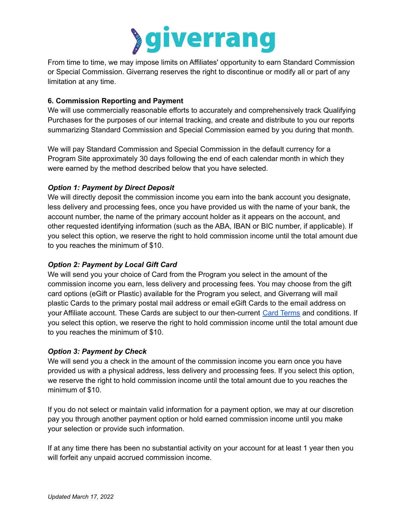

From time to time, we may impose limits on Affiliates' opportunity to earn Standard Commission or Special Commission. Giverrang reserves the right to discontinue or modify all or part of any limitation at any time.

#### **6. Commission Reporting and Payment**

We will use commercially reasonable efforts to accurately and comprehensively track Qualifying Purchases for the purposes of our internal tracking, and create and distribute to you our reports summarizing Standard Commission and Special Commission earned by you during that month.

We will pay Standard Commission and Special Commission in the default currency for a Program Site approximately 30 days following the end of each calendar month in which they were earned by the method described below that you have selected.

# *Option 1: Payment by Direct Deposit*

We will directly deposit the commission income you earn into the bank account you designate, less delivery and processing fees, once you have provided us with the name of your bank, the account number, the name of the primary account holder as it appears on the account, and other requested identifying information (such as the ABA, IBAN or BIC number, if applicable). If you select this option, we reserve the right to hold commission income until the total amount due to you reaches the minimum of \$10.

# *Option 2: Payment by Local Gift Card*

We will send you your choice of Card from the Program you select in the amount of the commission income you earn, less delivery and processing fees. You may choose from the gift card options (eGift or Plastic) available for the Program you select, and Giverrang will mail plastic Cards to the primary postal mail address or email eGift Cards to the email address on your Affiliate account. These Cards are subject to our then-current Card [Terms](https://giverrang.com/static/docs/card-terms.pdf) and conditions. If you select this option, we reserve the right to hold commission income until the total amount due to you reaches the minimum of \$10.

#### *Option 3: Payment by Check*

We will send you a check in the amount of the commission income you earn once you have provided us with a physical address, less delivery and processing fees. If you select this option, we reserve the right to hold commission income until the total amount due to you reaches the minimum of \$10.

If you do not select or maintain valid information for a payment option, we may at our discretion pay you through another payment option or hold earned commission income until you make your selection or provide such information.

If at any time there has been no substantial activity on your account for at least 1 year then you will forfeit any unpaid accrued commission income.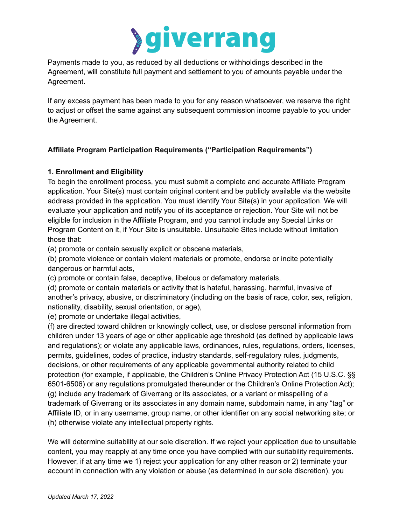

Payments made to you, as reduced by all deductions or withholdings described in the Agreement, will constitute full payment and settlement to you of amounts payable under the Agreement.

If any excess payment has been made to you for any reason whatsoever, we reserve the right to adjust or offset the same against any subsequent commission income payable to you under the Agreement.

# **Affiliate Program Participation Requirements ("Participation Requirements")**

# **1. Enrollment and Eligibility**

To begin the enrollment process, you must submit a complete and accurate Affiliate Program application. Your Site(s) must contain original content and be publicly available via the website address provided in the application. You must identify Your Site(s) in your application. We will evaluate your application and notify you of its acceptance or rejection. Your Site will not be eligible for inclusion in the Affiliate Program, and you cannot include any Special Links or Program Content on it, if Your Site is unsuitable. Unsuitable Sites include without limitation those that:

(a) promote or contain sexually explicit or obscene materials,

(b) promote violence or contain violent materials or promote, endorse or incite potentially dangerous or harmful acts,

(c) promote or contain false, deceptive, libelous or defamatory materials,

(d) promote or contain materials or activity that is hateful, harassing, harmful, invasive of another's privacy, abusive, or discriminatory (including on the basis of race, color, sex, religion, nationality, disability, sexual orientation, or age),

(e) promote or undertake illegal activities,

(f) are directed toward children or knowingly collect, use, or disclose personal information from children under 13 years of age or other applicable age threshold (as defined by applicable laws and regulations); or violate any applicable laws, ordinances, rules, regulations, orders, licenses, permits, guidelines, codes of practice, industry standards, self-regulatory rules, judgments, decisions, or other requirements of any applicable governmental authority related to child protection (for example, if applicable, the Children's Online Privacy Protection Act (15 U.S.C. §§ 6501-6506) or any regulations promulgated thereunder or the Children's Online Protection Act); (g) include any trademark of Giverrang or its associates, or a variant or misspelling of a trademark of Giverrang or its associates in any domain name, subdomain name, in any "tag" or Affiliate ID, or in any username, group name, or other identifier on any social networking site; or (h) otherwise violate any intellectual property rights.

We will determine suitability at our sole discretion. If we reject your application due to unsuitable content, you may reapply at any time once you have complied with our suitability requirements. However, if at any time we 1) reject your application for any other reason or 2) terminate your account in connection with any violation or abuse (as determined in our sole discretion), you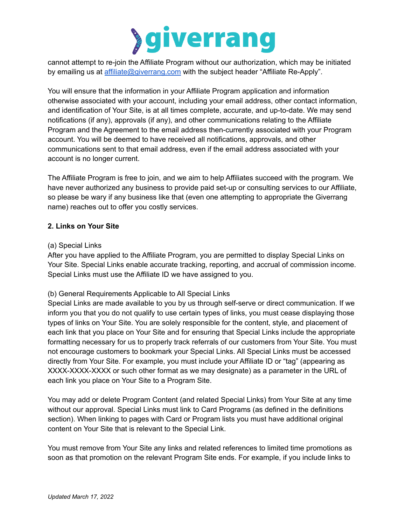

cannot attempt to re-join the Affiliate Program without our authorization, which may be initiated by emailing us at [affiliate@giverrang.com](mailto:affiliate@giverrang.com) with the subject header "Affiliate Re-Apply".

You will ensure that the information in your Affiliate Program application and information otherwise associated with your account, including your email address, other contact information, and identification of Your Site, is at all times complete, accurate, and up-to-date. We may send notifications (if any), approvals (if any), and other communications relating to the Affiliate Program and the Agreement to the email address then-currently associated with your Program account. You will be deemed to have received all notifications, approvals, and other communications sent to that email address, even if the email address associated with your account is no longer current.

The Affiliate Program is free to join, and we aim to help Affiliates succeed with the program. We have never authorized any business to provide paid set-up or consulting services to our Affiliate, so please be wary if any business like that (even one attempting to appropriate the Giverrang name) reaches out to offer you costly services.

#### **2. Links on Your Site**

#### (a) Special Links

After you have applied to the Affiliate Program, you are permitted to display Special Links on Your Site. Special Links enable accurate tracking, reporting, and accrual of commission income. Special Links must use the Affiliate ID we have assigned to you.

#### (b) General Requirements Applicable to All Special Links

Special Links are made available to you by us through self-serve or direct communication. If we inform you that you do not qualify to use certain types of links, you must cease displaying those types of links on Your Site. You are solely responsible for the content, style, and placement of each link that you place on Your Site and for ensuring that Special Links include the appropriate formatting necessary for us to properly track referrals of our customers from Your Site. You must not encourage customers to bookmark your Special Links. All Special Links must be accessed directly from Your Site. For example, you must include your Affiliate ID or "tag" (appearing as XXXX-XXXX-XXXX or such other format as we may designate) as a parameter in the URL of each link you place on Your Site to a Program Site.

You may add or delete Program Content (and related Special Links) from Your Site at any time without our approval. Special Links must link to Card Programs (as defined in the definitions section). When linking to pages with Card or Program lists you must have additional original content on Your Site that is relevant to the Special Link.

You must remove from Your Site any links and related references to limited time promotions as soon as that promotion on the relevant Program Site ends. For example, if you include links to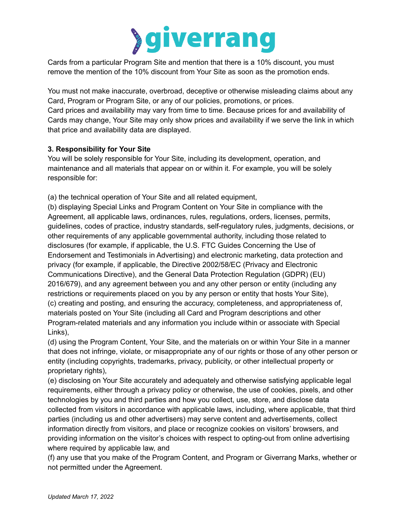

Cards from a particular Program Site and mention that there is a 10% discount, you must remove the mention of the 10% discount from Your Site as soon as the promotion ends.

You must not make inaccurate, overbroad, deceptive or otherwise misleading claims about any Card, Program or Program Site, or any of our policies, promotions, or prices. Card prices and availability may vary from time to time. Because prices for and availability of Cards may change, Your Site may only show prices and availability if we serve the link in which that price and availability data are displayed.

# **3. Responsibility for Your Site**

You will be solely responsible for Your Site, including its development, operation, and maintenance and all materials that appear on or within it. For example, you will be solely responsible for:

(a) the technical operation of Your Site and all related equipment,

(b) displaying Special Links and Program Content on Your Site in compliance with the Agreement, all applicable laws, ordinances, rules, regulations, orders, licenses, permits, guidelines, codes of practice, industry standards, self-regulatory rules, judgments, decisions, or other requirements of any applicable governmental authority, including those related to disclosures (for example, if applicable, the U.S. FTC Guides Concerning the Use of Endorsement and Testimonials in Advertising) and electronic marketing, data protection and privacy (for example, if applicable, the Directive 2002/58/EC (Privacy and Electronic Communications Directive), and the General Data Protection Regulation (GDPR) (EU) 2016/679), and any agreement between you and any other person or entity (including any restrictions or requirements placed on you by any person or entity that hosts Your Site), (c) creating and posting, and ensuring the accuracy, completeness, and appropriateness of, materials posted on Your Site (including all Card and Program descriptions and other Program-related materials and any information you include within or associate with Special Links),

(d) using the Program Content, Your Site, and the materials on or within Your Site in a manner that does not infringe, violate, or misappropriate any of our rights or those of any other person or entity (including copyrights, trademarks, privacy, publicity, or other intellectual property or proprietary rights),

(e) disclosing on Your Site accurately and adequately and otherwise satisfying applicable legal requirements, either through a privacy policy or otherwise, the use of cookies, pixels, and other technologies by you and third parties and how you collect, use, store, and disclose data collected from visitors in accordance with applicable laws, including, where applicable, that third parties (including us and other advertisers) may serve content and advertisements, collect information directly from visitors, and place or recognize cookies on visitors' browsers, and providing information on the visitor's choices with respect to opting-out from online advertising where required by applicable law, and

(f) any use that you make of the Program Content, and Program or Giverrang Marks, whether or not permitted under the Agreement.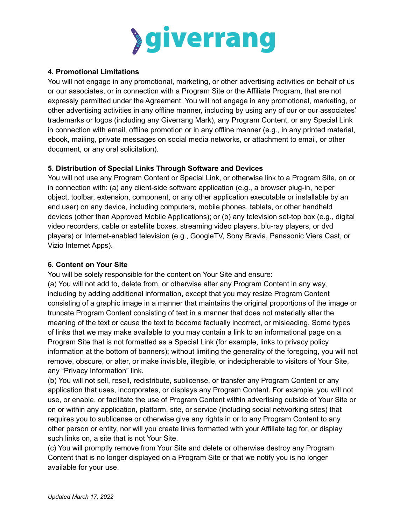

#### **4. Promotional Limitations**

You will not engage in any promotional, marketing, or other advertising activities on behalf of us or our associates, or in connection with a Program Site or the Affiliate Program, that are not expressly permitted under the Agreement. You will not engage in any promotional, marketing, or other advertising activities in any offline manner, including by using any of our or our associates' trademarks or logos (including any Giverrang Mark), any Program Content, or any Special Link in connection with email, offline promotion or in any offline manner (e.g., in any printed material, ebook, mailing, private messages on social media networks, or attachment to email, or other document, or any oral solicitation).

# **5. Distribution of Special Links Through Software and Devices**

You will not use any Program Content or Special Link, or otherwise link to a Program Site, on or in connection with: (a) any client-side software application (e.g., a browser plug-in, helper object, toolbar, extension, component, or any other application executable or installable by an end user) on any device, including computers, mobile phones, tablets, or other handheld devices (other than Approved Mobile Applications); or (b) any television set-top box (e.g., digital video recorders, cable or satellite boxes, streaming video players, blu-ray players, or dvd players) or Internet-enabled television (e.g., GoogleTV, Sony Bravia, Panasonic Viera Cast, or Vizio Internet Apps).

#### **6. Content on Your Site**

You will be solely responsible for the content on Your Site and ensure:

(a) You will not add to, delete from, or otherwise alter any Program Content in any way, including by adding additional information, except that you may resize Program Content consisting of a graphic image in a manner that maintains the original proportions of the image or truncate Program Content consisting of text in a manner that does not materially alter the meaning of the text or cause the text to become factually incorrect, or misleading. Some types of links that we may make available to you may contain a link to an informational page on a Program Site that is not formatted as a Special Link (for example, links to privacy policy information at the bottom of banners); without limiting the generality of the foregoing, you will not remove, obscure, or alter, or make invisible, illegible, or indecipherable to visitors of Your Site, any "Privacy Information" link.

(b) You will not sell, resell, redistribute, sublicense, or transfer any Program Content or any application that uses, incorporates, or displays any Program Content. For example, you will not use, or enable, or facilitate the use of Program Content within advertising outside of Your Site or on or within any application, platform, site, or service (including social networking sites) that requires you to sublicense or otherwise give any rights in or to any Program Content to any other person or entity, nor will you create links formatted with your Affiliate tag for, or display such links on, a site that is not Your Site.

(c) You will promptly remove from Your Site and delete or otherwise destroy any Program Content that is no longer displayed on a Program Site or that we notify you is no longer available for your use.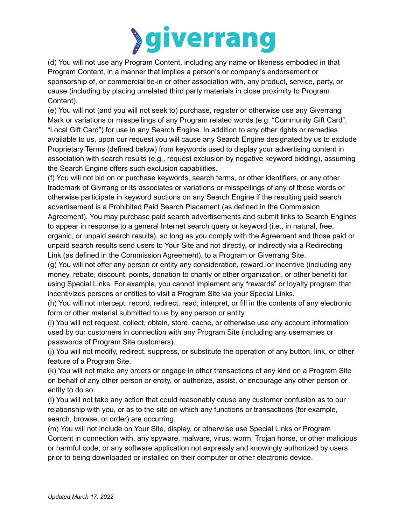

(d) You will not use any Program Content, including any name or likeness embodied in that Program Content, in a manner that implies a person's or company's endorsement or sponsorship of, or commercial tie-in or other association with, any product, service, party, or cause (including by placing unrelated third party materials in close proximity to Program Content).

(e) You will not (and you will not seek to) purchase, register or otherwise use any Giverrang Mark or variations or misspellings of any Program related words (e.g. "Community Gift Card", "Local Gift Card") for use in any Search Engine. In addition to any other rights or remedies available to us, upon our request you will cause any Search Engine designated by us to exclude Proprietary Terms (defined below) from keywords used to display your advertising content in association with search results (e.g., request exclusion by negative keyword bidding), assuming the Search Engine offers such exclusion capabilities.

(f) You will not bid on or purchase keywords, search terms, or other identifiers, or any other trademark of Givrrang or its associates or variations or misspellings of any of these words or otherwise participate in keyword auctions on any Search Engine if the resulting paid search advertisement is a Prohibited Paid Search Placement (as defined in the Commission Agreement). You may purchase paid search advertisements and submit links to Search Engines to appear in response to a general Internet search query or keyword (i.e., in natural, free, organic, or unpaid search results), so long as you comply with the Agreement and those paid or unpaid search results send users to Your Site and not directly, or indirectly via a Redirecting Link (as defined in the Commission Agreement), to a Program or Giverrang Site.

(g) You will not offer any person or entity any consideration, reward, or incentive (including any money, rebate, discount, points, donation to charity or other organization, or other benefit) for using Special Links. For example, you cannot implement any "rewards" or loyalty program that incentivizes persons or entities to visit a Program Site via your Special Links.

(h) You will not intercept, record, redirect, read, interpret, or fill in the contents of any electronic form or other material submitted to us by any person or entity.

(i) You will not request, collect, obtain, store, cache, or otherwise use any account information used by our customers in connection with any Program Site (including any usernames or passwords of Program Site customers).

(j) You will not modify, redirect, suppress, or substitute the operation of any button, link, or other feature of a Program Site.

(k) You will not make any orders or engage in other transactions of any kind on a Program Site on behalf of any other person or entity, or authorize, assist, or encourage any other person or entity to do so.

(l) You will not take any action that could reasonably cause any customer confusion as to our relationship with you, or as to the site on which any functions or transactions (for example, search, browse, or order) are occurring.

(m) You will not include on Your Site, display, or otherwise use Special Links or Program Content in connection with, any spyware, malware, virus, worm, Trojan horse, or other malicious or harmful code, or any software application not expressly and knowingly authorized by users prior to being downloaded or installed on their computer or other electronic device.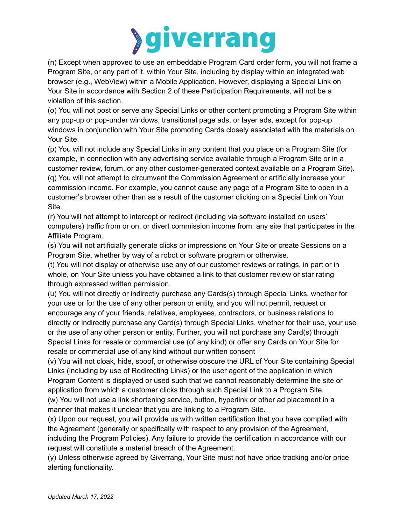

(n) Except when approved to use an embeddable Program Card order form, you will not frame a Program Site, or any part of it, within Your Site, including by display within an integrated web browser (e.g., WebView) within a Mobile Application. However, displaying a Special Link on Your Site in accordance with Section 2 of these Participation Requirements, will not be a violation of this section.

(o) You will not post or serve any Special Links or other content promoting a Program Site within any pop-up or pop-under windows, transitional page ads, or layer ads, except for pop-up windows in conjunction with Your Site promoting Cards closely associated with the materials on Your Site.

(p) You will not include any Special Links in any content that you place on a Program Site (for example, in connection with any advertising service available through a Program Site or in a customer review, forum, or any other customer-generated context available on a Program Site). (q) You will not attempt to circumvent the Commission Agreement or artificially increase your commission income. For example, you cannot cause any page of a Program Site to open in a customer's browser other than as a result of the customer clicking on a Special Link on Your Site.

(r) You will not attempt to intercept or redirect (including via software installed on users' computers) traffic from or on, or divert commission income from, any site that participates in the Affiliate Program.

(s) You will not artificially generate clicks or impressions on Your Site or create Sessions on a Program Site, whether by way of a robot or software program or otherwise.

(t) You will not display or otherwise use any of our customer reviews or ratings, in part or in whole, on Your Site unless you have obtained a link to that customer review or star rating through expressed written permission.

(u) You will not directly or indirectly purchase any Cards(s) through Special Links, whether for your use or for the use of any other person or entity, and you will not permit, request or encourage any of your friends, relatives, employees, contractors, or business relations to directly or indirectly purchase any Card(s) through Special Links, whether for their use, your use or the use of any other person or entity. Further, you will not purchase any Card(s) through Special Links for resale or commercial use (of any kind) or offer any Cards on Your Site for resale or commercial use of any kind without our written consent

(v) You will not cloak, hide, spoof, or otherwise obscure the URL of Your Site containing Special Links (including by use of Redirecting Links) or the user agent of the application in which Program Content is displayed or used such that we cannot reasonably determine the site or application from which a customer clicks through such Special Link to a Program Site.

(w) You will not use a link shortening service, button, hyperlink or other ad placement in a manner that makes it unclear that you are linking to a Program Site.

(x) Upon our request, you will provide us with written certification that you have complied with the Agreement (generally or specifically with respect to any provision of the Agreement, including the Program Policies). Any failure to provide the certification in accordance with our request will constitute a material breach of the Agreement.

(y) Unless otherwise agreed by Giverrang, Your Site must not have price tracking and/or price alerting functionality.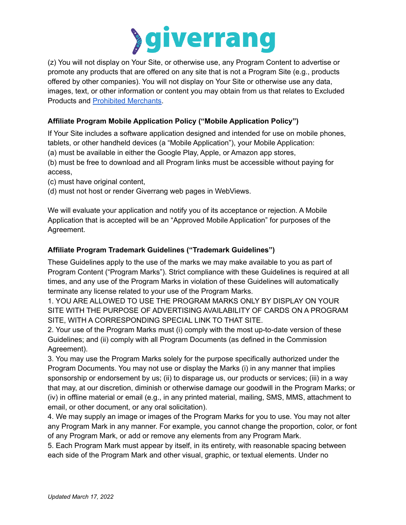

(z) You will not display on Your Site, or otherwise use, any Program Content to advertise or promote any products that are offered on any site that is not a Program Site (e.g., products offered by other companies). You will not display on Your Site or otherwise use any data, images, text, or other information or content you may obtain from us that relates to Excluded Products and Prohibited [Merchants.](https://giverrang.com/static/docs/prohibited-merchants.pdf?cache=20211215)

# **Affiliate Program Mobile Application Policy ("Mobile Application Policy")**

If Your Site includes a software application designed and intended for use on mobile phones, tablets, or other handheld devices (a "Mobile Application"), your Mobile Application:

(a) must be available in either the Google Play, Apple, or Amazon app stores,

(b) must be free to download and all Program links must be accessible without paying for access,

(c) must have original content,

(d) must not host or render Giverrang web pages in WebViews.

We will evaluate your application and notify you of its acceptance or rejection. A Mobile Application that is accepted will be an "Approved Mobile Application" for purposes of the Agreement.

# **Affiliate Program Trademark Guidelines ("Trademark Guidelines")**

These Guidelines apply to the use of the marks we may make available to you as part of Program Content ("Program Marks"). Strict compliance with these Guidelines is required at all times, and any use of the Program Marks in violation of these Guidelines will automatically terminate any license related to your use of the Program Marks.

1. YOU ARE ALLOWED TO USE THE PROGRAM MARKS ONLY BY DISPLAY ON YOUR SITE WITH THE PURPOSE OF ADVERTISING AVAILABILITY OF CARDS ON A PROGRAM SITE, WITH A CORRESPONDING SPECIAL LINK TO THAT SITE.

2. Your use of the Program Marks must (i) comply with the most up-to-date version of these Guidelines; and (ii) comply with all Program Documents (as defined in the Commission Agreement).

3. You may use the Program Marks solely for the purpose specifically authorized under the Program Documents. You may not use or display the Marks (i) in any manner that implies sponsorship or endorsement by us; (ii) to disparage us, our products or services; (iii) in a way that may, at our discretion, diminish or otherwise damage our goodwill in the Program Marks; or (iv) in offline material or email (e.g., in any printed material, mailing, SMS, MMS, attachment to email, or other document, or any oral solicitation).

4. We may supply an image or images of the Program Marks for you to use. You may not alter any Program Mark in any manner. For example, you cannot change the proportion, color, or font of any Program Mark, or add or remove any elements from any Program Mark.

5. Each Program Mark must appear by itself, in its entirety, with reasonable spacing between each side of the Program Mark and other visual, graphic, or textual elements. Under no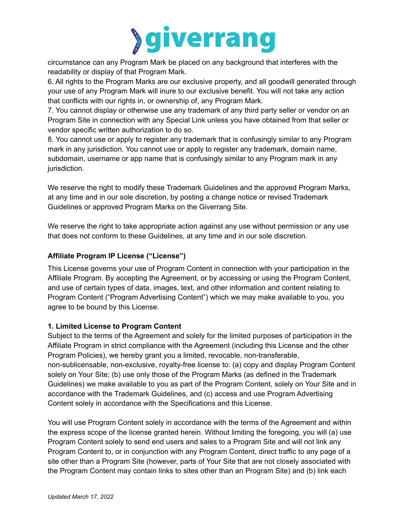

circumstance can any Program Mark be placed on any background that interferes with the readability or display of that Program Mark.

6. All rights to the Program Marks are our exclusive property, and all goodwill generated through your use of any Program Mark will inure to our exclusive benefit. You will not take any action that conflicts with our rights in, or ownership of, any Program Mark.

7. You cannot display or otherwise use any trademark of any third party seller or vendor on an Program Site in connection with any Special Link unless you have obtained from that seller or vendor specific written authorization to do so.

8. You cannot use or apply to register any trademark that is confusingly similar to any Program mark in any jurisdiction. You cannot use or apply to register any trademark, domain name, subdomain, username or app name that is confusingly similar to any Program mark in any jurisdiction.

We reserve the right to modify these Trademark Guidelines and the approved Program Marks, at any time and in our sole discretion, by posting a change notice or revised Trademark Guidelines or approved Program Marks on the Giverrang Site.

We reserve the right to take appropriate action against any use without permission or any use that does not conform to these Guidelines, at any time and in our sole discretion.

# **Affiliate Program IP License ("License")**

This License governs your use of Program Content in connection with your participation in the Affiliate Program. By accepting the Agreement, or by accessing or using the Program Content, and use of certain types of data, images, text, and other information and content relating to Program Content ("Program Advertising Content") which we may make available to you, you agree to be bound by this License.

# **1. Limited License to Program Content**

Subject to the terms of the Agreement and solely for the limited purposes of participation in the Affiliate Program in strict compliance with the Agreement (including this License and the other Program Policies), we hereby grant you a limited, revocable, non-transferable, non-sublicensable, non-exclusive, royalty-free license to: (a) copy and display Program Content solely on Your Site; (b) use only those of the Program Marks (as defined in the Trademark Guidelines) we make available to you as part of the Program Content, solely on Your Site and in accordance with the Trademark Guidelines, and (c) access and use Program Advertising Content solely in accordance with the Specifications and this License.

You will use Program Content solely in accordance with the terms of the Agreement and within the express scope of the license granted herein. Without limiting the foregoing, you will (a) use Program Content solely to send end users and sales to a Program Site and will not link any Program Content to, or in conjunction with any Program Content, direct traffic to any page of a site other than a Program Site (however, parts of Your Site that are not closely associated with the Program Content may contain links to sites other than an Program Site) and (b) link each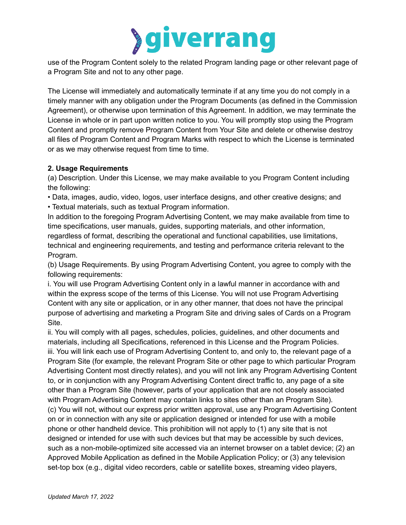

use of the Program Content solely to the related Program landing page or other relevant page of a Program Site and not to any other page.

The License will immediately and automatically terminate if at any time you do not comply in a timely manner with any obligation under the Program Documents (as defined in the Commission Agreement), or otherwise upon termination of this Agreement. In addition, we may terminate the License in whole or in part upon written notice to you. You will promptly stop using the Program Content and promptly remove Program Content from Your Site and delete or otherwise destroy all files of Program Content and Program Marks with respect to which the License is terminated or as we may otherwise request from time to time.

#### **2. Usage Requirements**

(a) Description. Under this License, we may make available to you Program Content including the following:

• Data, images, audio, video, logos, user interface designs, and other creative designs; and • Textual materials, such as textual Program information.

In addition to the foregoing Program Advertising Content, we may make available from time to time specifications, user manuals, guides, supporting materials, and other information, regardless of format, describing the operational and functional capabilities, use limitations, technical and engineering requirements, and testing and performance criteria relevant to the Program.

(b) Usage Requirements. By using Program Advertising Content, you agree to comply with the following requirements:

i. You will use Program Advertising Content only in a lawful manner in accordance with and within the express scope of the terms of this License. You will not use Program Advertising Content with any site or application, or in any other manner, that does not have the principal purpose of advertising and marketing a Program Site and driving sales of Cards on a Program Site.

ii. You will comply with all pages, schedules, policies, guidelines, and other documents and materials, including all Specifications, referenced in this License and the Program Policies. iii. You will link each use of Program Advertising Content to, and only to, the relevant page of a Program Site (for example, the relevant Program Site or other page to which particular Program Advertising Content most directly relates), and you will not link any Program Advertising Content to, or in conjunction with any Program Advertising Content direct traffic to, any page of a site other than a Program Site (however, parts of your application that are not closely associated with Program Advertising Content may contain links to sites other than an Program Site). (c) You will not, without our express prior written approval, use any Program Advertising Content on or in connection with any site or application designed or intended for use with a mobile phone or other handheld device. This prohibition will not apply to (1) any site that is not designed or intended for use with such devices but that may be accessible by such devices, such as a non-mobile-optimized site accessed via an internet browser on a tablet device; (2) an Approved Mobile Application as defined in the Mobile Application Policy; or (3) any television set-top box (e.g., digital video recorders, cable or satellite boxes, streaming video players,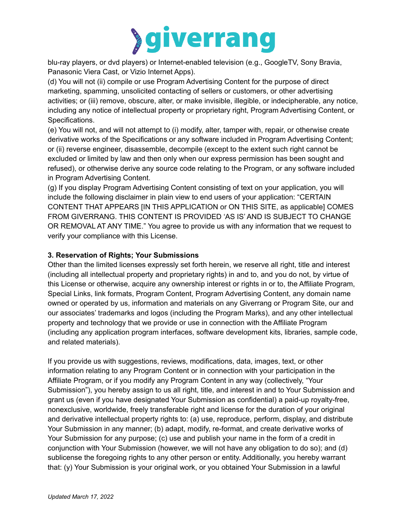

blu-ray players, or dvd players) or Internet-enabled television (e.g., GoogleTV, Sony Bravia, Panasonic Viera Cast, or Vizio Internet Apps).

(d) You will not (ii) compile or use Program Advertising Content for the purpose of direct marketing, spamming, unsolicited contacting of sellers or customers, or other advertising activities; or (iii) remove, obscure, alter, or make invisible, illegible, or indecipherable, any notice, including any notice of intellectual property or proprietary right, Program Advertising Content, or Specifications.

(e) You will not, and will not attempt to (i) modify, alter, tamper with, repair, or otherwise create derivative works of the Specifications or any software included in Program Advertising Content; or (ii) reverse engineer, disassemble, decompile (except to the extent such right cannot be excluded or limited by law and then only when our express permission has been sought and refused), or otherwise derive any source code relating to the Program, or any software included in Program Advertising Content.

(g) If you display Program Advertising Content consisting of text on your application, you will include the following disclaimer in plain view to end users of your application: "CERTAIN CONTENT THAT APPEARS [IN THIS APPLICATION or ON THIS SITE, as applicable] COMES FROM GIVERRANG. THIS CONTENT IS PROVIDED 'AS IS' AND IS SUBJECT TO CHANGE OR REMOVAL AT ANY TIME." You agree to provide us with any information that we request to verify your compliance with this License.

# **3. Reservation of Rights; Your Submissions**

Other than the limited licenses expressly set forth herein, we reserve all right, title and interest (including all intellectual property and proprietary rights) in and to, and you do not, by virtue of this License or otherwise, acquire any ownership interest or rights in or to, the Affiliate Program, Special Links, link formats, Program Content, Program Advertising Content, any domain name owned or operated by us, information and materials on any Giverrang or Program Site, our and our associates' trademarks and logos (including the Program Marks), and any other intellectual property and technology that we provide or use in connection with the Affiliate Program (including any application program interfaces, software development kits, libraries, sample code, and related materials).

If you provide us with suggestions, reviews, modifications, data, images, text, or other information relating to any Program Content or in connection with your participation in the Affiliate Program, or if you modify any Program Content in any way (collectively, "Your Submission"), you hereby assign to us all right, title, and interest in and to Your Submission and grant us (even if you have designated Your Submission as confidential) a paid-up royalty-free, nonexclusive, worldwide, freely transferable right and license for the duration of your original and derivative intellectual property rights to: (a) use, reproduce, perform, display, and distribute Your Submission in any manner; (b) adapt, modify, re-format, and create derivative works of Your Submission for any purpose; (c) use and publish your name in the form of a credit in conjunction with Your Submission (however, we will not have any obligation to do so); and (d) sublicense the foregoing rights to any other person or entity. Additionally, you hereby warrant that: (y) Your Submission is your original work, or you obtained Your Submission in a lawful